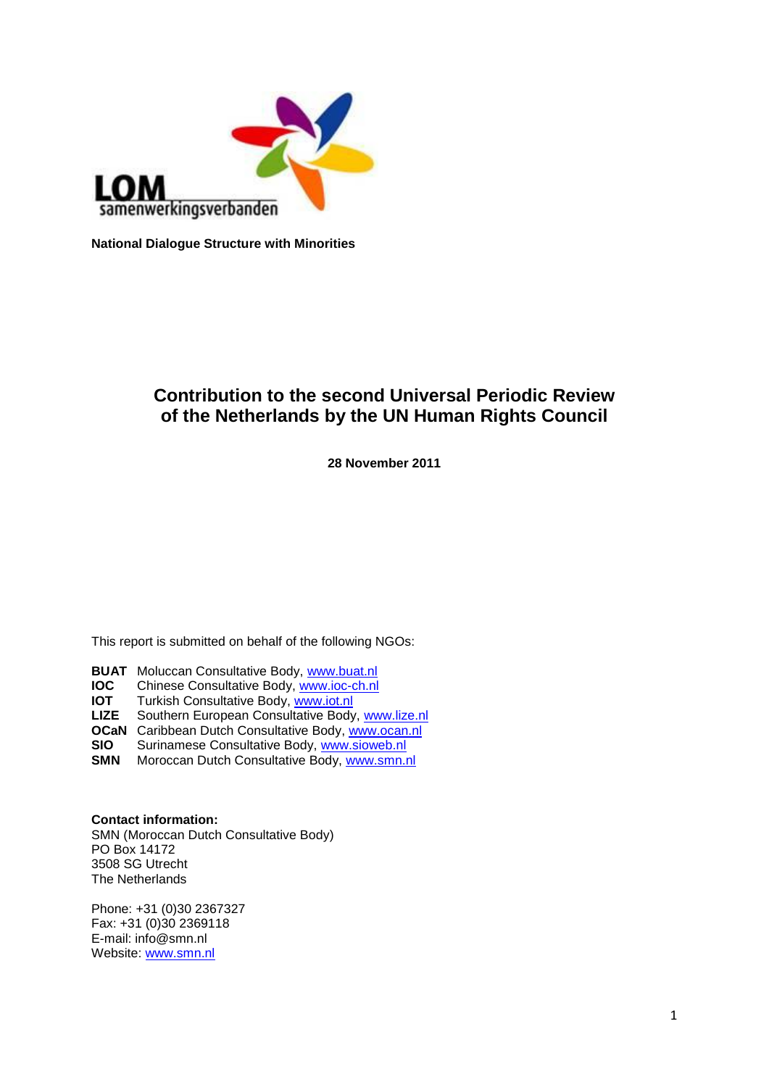

**National Dialogue Structure with Minorities**

# **Contribution to the second Universal Periodic Review of the Netherlands by the UN Human Rights Council**

**28 November 2011**

This report is submitted on behalf of the following NGOs:

**BUAT** Moluccan Consultative Body, [www.buat.nl](http://www.buat.nl/)<br>**IOC** Chinese Consultative Body, www.joc-ch.nl

**IOC** Chinese Consultative Body, [www.ioc-ch.nl](http://www.ioc-ch.nl/)<br>**IOT** Turkish Consultative Body, www.iot.nl

**IOT** Turkish Consultative Body, [www.iot.nl](http://www.iot.nl/)<br>**LIZE** Southern European Consultative Body

Southern European Consultative Body, [www.lize.nl](http://www.lize.nl/)

**OCaN** Caribbean Dutch Consultative Body, [www.ocan.nl](http://www.ocan.nl/)

**SIO** Surinamese Consultative Body, [www.sioweb.nl](http://www.sioweb.nl/)<br>**SMN** Moroccan Dutch Consultative Body, www.smn.

**Moroccan Dutch Consultative Body, [www.smn.nl](http://www.smn.nl/)** 

**Contact information:**

SMN (Moroccan Dutch Consultative Body) PO Box 14172 3508 SG Utrecht The Netherlands

Phone: +31 (0)30 2367327 Fax: +31 (0)30 2369118 E-mail: info@smn.nl Website: [www.smn.nl](http://www.smn.nl/)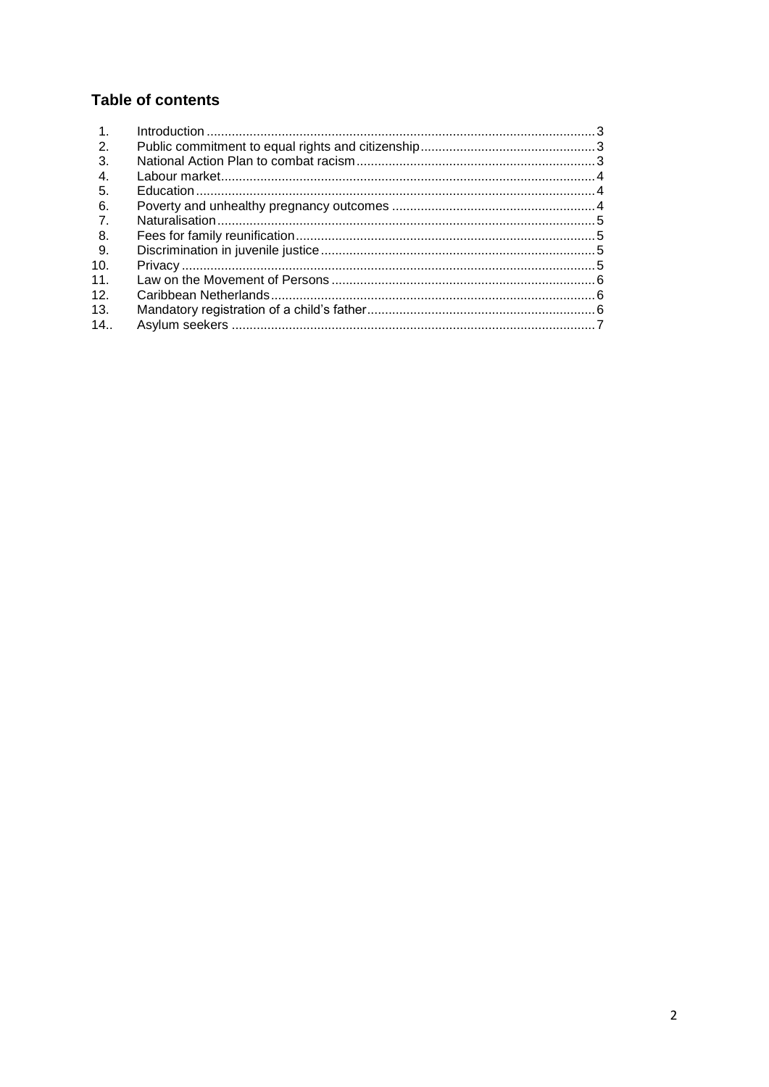# **Table of contents**

| $\overline{1}$ . |  |
|------------------|--|
| 2.               |  |
| 3.               |  |
| 4.               |  |
| -5.              |  |
| 6.               |  |
| $\overline{7}$ . |  |
| -8.              |  |
| 9.               |  |
| 10.              |  |
| 11.              |  |
| 12.              |  |
| 13.              |  |
| 14.              |  |
|                  |  |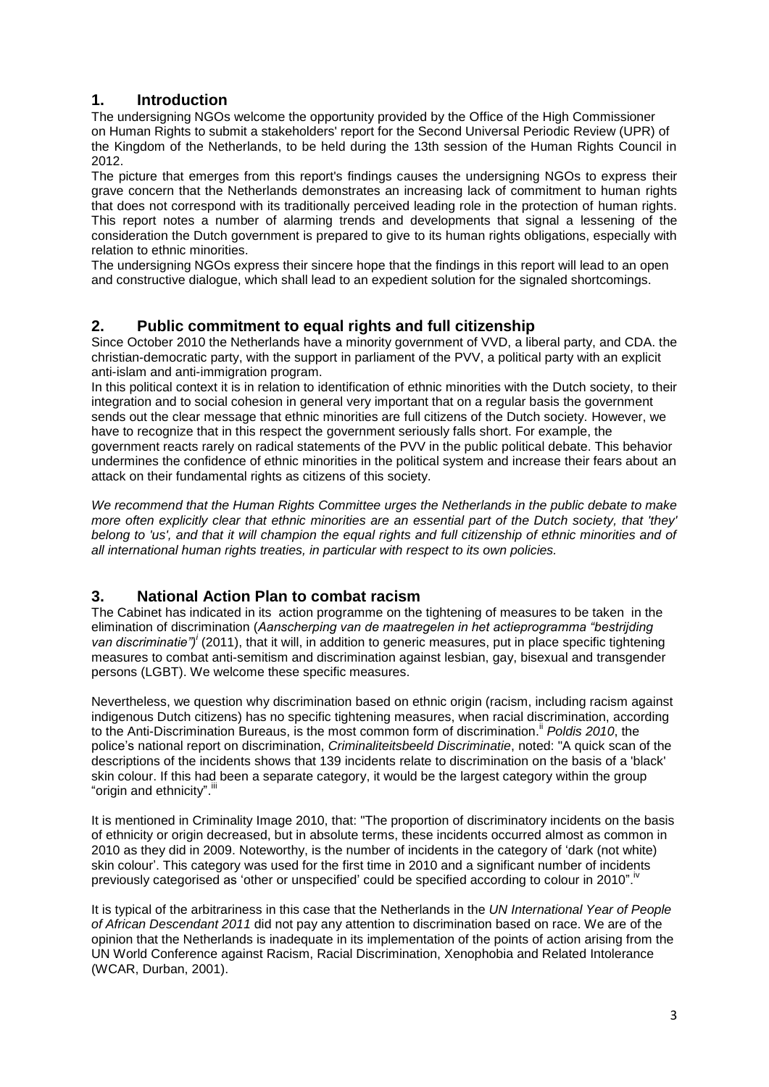## **1. Introduction**

The undersigning NGOs welcome the opportunity provided by the Office of the High Commissioner on Human Rights to submit a stakeholders' report for the Second Universal Periodic Review (UPR) of the Kingdom of the Netherlands, to be held during the 13th session of the Human Rights Council in 2012.

The picture that emerges from this report's findings causes the undersigning NGOs to express their grave concern that the Netherlands demonstrates an increasing lack of commitment to human rights that does not correspond with its traditionally perceived leading role in the protection of human rights. This report notes a number of alarming trends and developments that signal a lessening of the consideration the Dutch government is prepared to give to its human rights obligations, especially with relation to ethnic minorities.

The undersigning NGOs express their sincere hope that the findings in this report will lead to an open and constructive dialogue, which shall lead to an expedient solution for the signaled shortcomings.

## **2. Public commitment to equal rights and full citizenship**

Since October 2010 the Netherlands have a minority government of VVD, a liberal party, and CDA. the christian-democratic party, with the support in parliament of the PVV, a political party with an explicit anti-islam and anti-immigration program.

In this political context it is in relation to identification of ethnic minorities with the Dutch society, to their integration and to social cohesion in general very important that on a regular basis the government sends out the clear message that ethnic minorities are full citizens of the Dutch society. However, we have to recognize that in this respect the government seriously falls short. For example, the government reacts rarely on radical statements of the PVV in the public political debate. This behavior undermines the confidence of ethnic minorities in the political system and increase their fears about an attack on their fundamental rights as citizens of this society.

*We recommend that the Human Rights Committee urges the Netherlands in the public debate to make more often explicitly clear that ethnic minorities are an essential part of the Dutch society, that 'they' belong to 'us', and that it will champion the equal rights and full citizenship of ethnic minorities and of all international human rights treaties, in particular with respect to its own policies.*

## **3. National Action Plan to combat racism**

The Cabinet has indicated in its action programme on the tightening of measures to be taken in the elimination of discrimination (*Aanscherping van de maatregelen in het actieprogramma "bestrijding van discriminatie")<sup>i</sup>* (2011), that it will, in addition to generic measures, put in place specific tightening measures to combat anti-semitism and discrimination against lesbian, gay, bisexual and transgender persons (LGBT). We welcome these specific measures.

Nevertheless, we question why discrimination based on ethnic origin (racism, including racism against indigenous Dutch citizens) has no specific tightening measures, when racial discrimination, according to the Anti-Discrimination Bureaus, is the most common form of discrimination. ii *Poldis 2010*, the police"s national report on discrimination, *Criminaliteitsbeeld Discriminatie*, noted: "A quick scan of the descriptions of the incidents shows that 139 incidents relate to discrimination on the basis of a 'black' skin colour. If this had been a separate category, it would be the largest category within the group "origin and ethnicity". iii

It is mentioned in Criminality Image 2010, that: "The proportion of discriminatory incidents on the basis of ethnicity or origin decreased, but in absolute terms, these incidents occurred almost as common in 2010 as they did in 2009. Noteworthy, is the number of incidents in the category of "dark (not white) skin colour". This category was used for the first time in 2010 and a significant number of incidents previously categorised as 'other or unspecified' could be specified according to colour in 2010".

It is typical of the arbitrariness in this case that the Netherlands in the *UN International Year of People of African Descendant 2011* did not pay any attention to discrimination based on race. We are of the opinion that the Netherlands is inadequate in its implementation of the points of action arising from the UN World Conference against Racism, Racial Discrimination, Xenophobia and Related Intolerance (WCAR, Durban, 2001).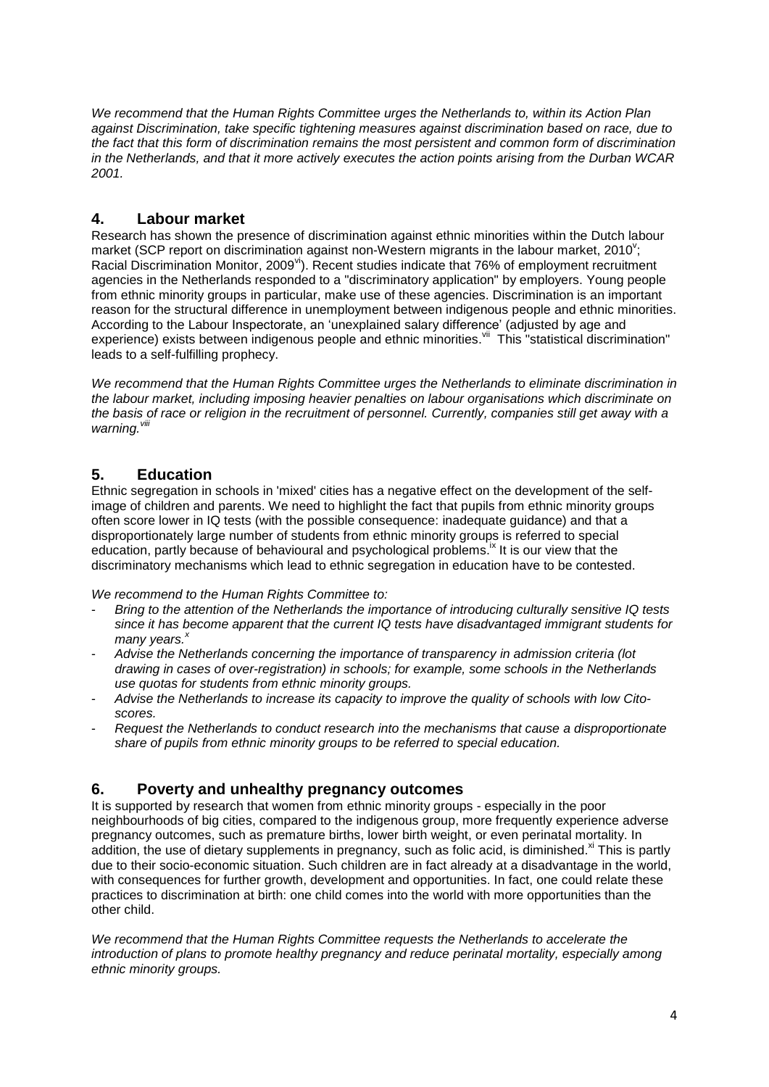*We recommend that the Human Rights Committee urges the Netherlands to, within its Action Plan against Discrimination, take specific tightening measures against discrimination based on race, due to the fact that this form of discrimination remains the most persistent and common form of discrimination in the Netherlands, and that it more actively executes the action points arising from the Durban WCAR 2001.*

## **4. Labour market**

Research has shown the presence of discrimination against ethnic minorities within the Dutch labour market (SCP report on discrimination against non-Western migrants in the labour market, 2010"; Racial Discrimination Monitor, 2009<sup>vi</sup>). Recent studies indicate that 76% of employment recruitment agencies in the Netherlands responded to a "discriminatory application" by employers. Young people from ethnic minority groups in particular, make use of these agencies. Discrimination is an important reason for the structural difference in unemployment between indigenous people and ethnic minorities. According to the Labour Inspectorate, an "unexplained salary difference" (adjusted by age and experience) exists between indigenous people and ethnic minorities. Will This "statistical discrimination" leads to a self-fulfilling prophecy.

*We recommend that the Human Rights Committee urges the Netherlands to eliminate discrimination in the labour market, including imposing heavier penalties on labour organisations which discriminate on the basis of race or religion in the recruitment of personnel. Currently, companies still get away with a*  warning. Vili

## **5. Education**

Ethnic segregation in schools in 'mixed' cities has a negative effect on the development of the selfimage of children and parents. We need to highlight the fact that pupils from ethnic minority groups often score lower in IQ tests (with the possible consequence: inadequate guidance) and that a disproportionately large number of students from ethnic minority groups is referred to special education, partly because of behavioural and psychological problems.<sup>ix</sup> It is our view that the discriminatory mechanisms which lead to ethnic segregation in education have to be contested.

*We recommend to the Human Rights Committee to:*

- *Bring to the attention of the Netherlands the importance of introducing culturally sensitive IQ tests since it has become apparent that the current IQ tests have disadvantaged immigrant students for many years. x*
- *Advise the Netherlands concerning the importance of transparency in admission criteria (lot drawing in cases of over-registration) in schools; for example, some schools in the Netherlands use quotas for students from ethnic minority groups.*
- *Advise the Netherlands to increase its capacity to improve the quality of schools with low Citoscores.*
- *Request the Netherlands to conduct research into the mechanisms that cause a disproportionate share of pupils from ethnic minority groups to be referred to special education.*

#### **6. Poverty and unhealthy pregnancy outcomes**

It is supported by research that women from ethnic minority groups - especially in the poor neighbourhoods of big cities, compared to the indigenous group, more frequently experience adverse pregnancy outcomes, such as premature births, lower birth weight, or even perinatal mortality. In addition, the use of dietary supplements in pregnancy, such as folic acid, is diminished. Xi This is partly due to their socio-economic situation. Such children are in fact already at a disadvantage in the world, with consequences for further growth, development and opportunities. In fact, one could relate these practices to discrimination at birth: one child comes into the world with more opportunities than the other child.

*We recommend that the Human Rights Committee requests the Netherlands to accelerate the introduction of plans to promote healthy pregnancy and reduce perinatal mortality, especially among ethnic minority groups.*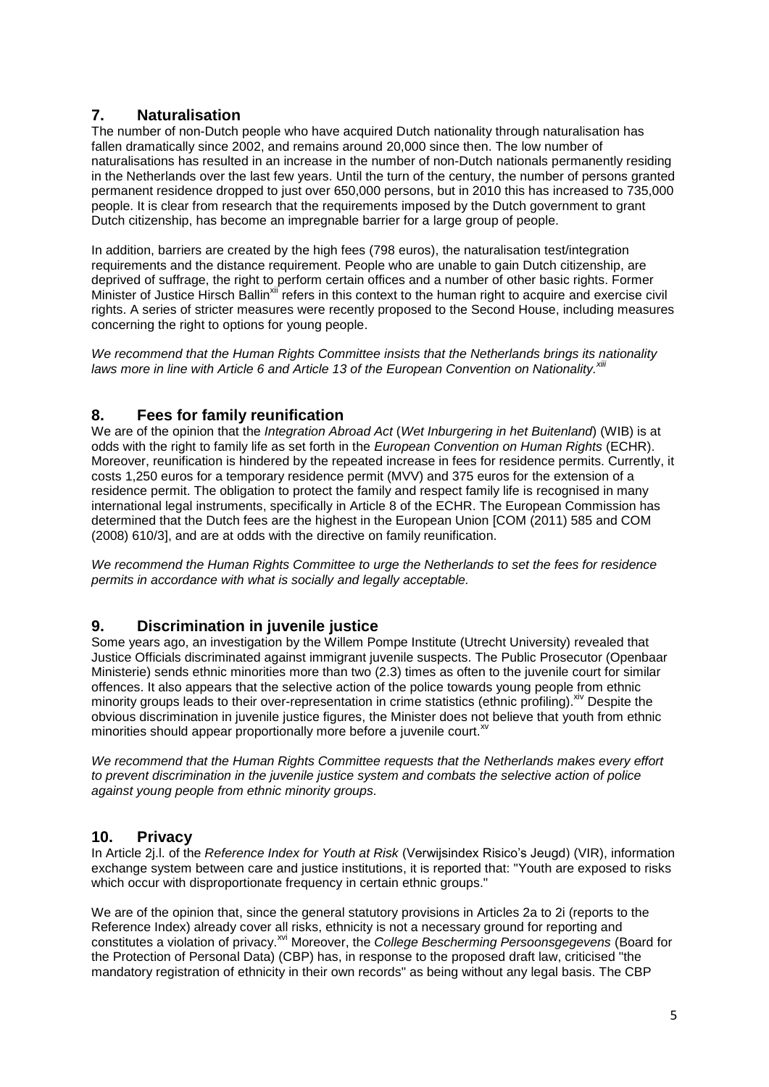## **7. Naturalisation**

The number of non-Dutch people who have acquired Dutch nationality through naturalisation has fallen dramatically since 2002, and remains around 20,000 since then. The low number of naturalisations has resulted in an increase in the number of non-Dutch nationals permanently residing in the Netherlands over the last few years. Until the turn of the century, the number of persons granted permanent residence dropped to just over 650,000 persons, but in 2010 this has increased to 735,000 people. It is clear from research that the requirements imposed by the Dutch government to grant Dutch citizenship, has become an impregnable barrier for a large group of people.

In addition, barriers are created by the high fees (798 euros), the naturalisation test/integration requirements and the distance requirement. People who are unable to gain Dutch citizenship, are deprived of suffrage, the right to perform certain offices and a number of other basic rights. Former Minister of Justice Hirsch Ballin<sup>xii</sup> refers in this context to the human right to acquire and exercise civil rights. A series of stricter measures were recently proposed to the Second House, including measures concerning the right to options for young people.

*We recommend that the Human Rights Committee insists that the Netherlands brings its nationality laws more in line with Article 6 and Article 13 of the European Convention on Nationality. xiii*

### **8. Fees for family reunification**

We are of the opinion that the *Integration Abroad Act* (*Wet Inburgering in het Buitenland*) (WIB) is at odds with the right to family life as set forth in the *European Convention on Human Rights* (ECHR). Moreover, reunification is hindered by the repeated increase in fees for residence permits. Currently, it costs 1,250 euros for a temporary residence permit (MVV) and 375 euros for the extension of a residence permit. The obligation to protect the family and respect family life is recognised in many international legal instruments, specifically in Article 8 of the ECHR. The European Commission has determined that the Dutch fees are the highest in the European Union [COM (2011) 585 and COM (2008) 610/3], and are at odds with the directive on family reunification.

*We recommend the Human Rights Committee to urge the Netherlands to set the fees for residence permits in accordance with what is socially and legally acceptable.*

## **9. Discrimination in juvenile justice**

Some years ago, an investigation by the Willem Pompe Institute (Utrecht University) revealed that Justice Officials discriminated against immigrant juvenile suspects. The Public Prosecutor (Openbaar Ministerie) sends ethnic minorities more than two (2.3) times as often to the juvenile court for similar offences. It also appears that the selective action of the police towards young people from ethnic minority groups leads to their over-representation in crime statistics (ethnic profiling). Xiv Despite the obvious discrimination in juvenile justice figures, the Minister does not believe that youth from ethnic minorities should appear proportionally more before a juvenile court.<sup>xv</sup>

*We recommend that the Human Rights Committee requests that the Netherlands makes every effort to prevent discrimination in the juvenile justice system and combats the selective action of police against young people from ethnic minority groups.*

### **10. Privacy**

In Article 2j.l. of the *Reference Index for Youth at Risk* (Verwijsindex Risico"s Jeugd) (VIR), information exchange system between care and justice institutions, it is reported that: "Youth are exposed to risks which occur with disproportionate frequency in certain ethnic groups."

We are of the opinion that, since the general statutory provisions in Articles 2a to 2i (reports to the Reference Index) already cover all risks, ethnicity is not a necessary ground for reporting and constitutes a violation of privacy. xvi Moreover, the *College Bescherming Persoonsgegevens* (Board for the Protection of Personal Data) (CBP) has, in response to the proposed draft law, criticised "the mandatory registration of ethnicity in their own records" as being without any legal basis. The CBP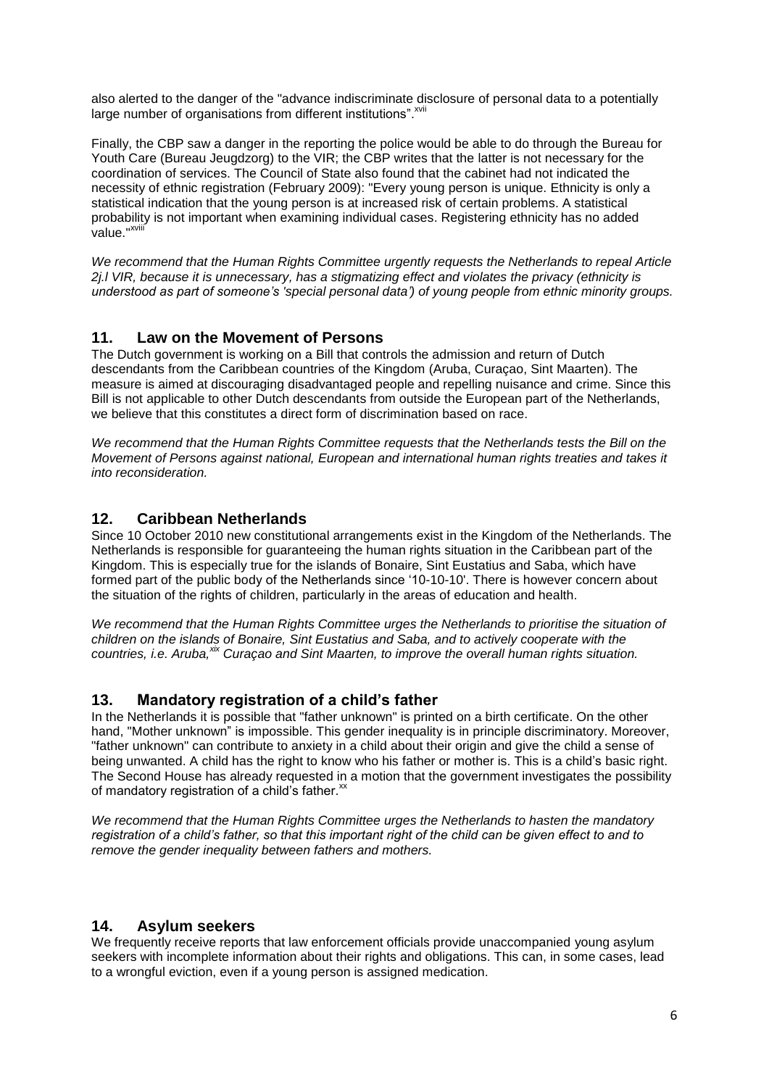also alerted to the danger of the "advance indiscriminate disclosure of personal data to a potentially large number of organisations from different institutions". XVII

Finally, the CBP saw a danger in the reporting the police would be able to do through the Bureau for Youth Care (Bureau Jeugdzorg) to the VIR; the CBP writes that the latter is not necessary for the coordination of services. The Council of State also found that the cabinet had not indicated the necessity of ethnic registration (February 2009): "Every young person is unique. Ethnicity is only a statistical indication that the young person is at increased risk of certain problems. A statistical probability is not important when examining individual cases. Registering ethnicity has no added value."<sup>xv</sup>

*We recommend that the Human Rights Committee urgently requests the Netherlands to repeal Article 2j.l VIR, because it is unnecessary, has a stigmatizing effect and violates the privacy (ethnicity is understood as part of someone's 'special personal data') of young people from ethnic minority groups.*

### **11. Law on the Movement of Persons**

The Dutch government is working on a Bill that controls the admission and return of Dutch descendants from the Caribbean countries of the Kingdom (Aruba, Curaçao, Sint Maarten). The measure is aimed at discouraging disadvantaged people and repelling nuisance and crime. Since this Bill is not applicable to other Dutch descendants from outside the European part of the Netherlands, we believe that this constitutes a direct form of discrimination based on race.

*We recommend that the Human Rights Committee requests that the Netherlands tests the Bill on the Movement of Persons against national, European and international human rights treaties and takes it into reconsideration.*

### **12. Caribbean Netherlands**

Since 10 October 2010 new constitutional arrangements exist in the Kingdom of the Netherlands. The Netherlands is responsible for guaranteeing the human rights situation in the Caribbean part of the Kingdom. This is especially true for the islands of Bonaire, Sint Eustatius and Saba, which have formed part of the public body of the Netherlands since "10-10-10'. There is however concern about the situation of the rights of children, particularly in the areas of education and health.

*We recommend that the Human Rights Committee urges the Netherlands to prioritise the situation of children on the islands of Bonaire, Sint Eustatius and Saba, and to actively cooperate with the countries, i.e. Aruba, xix Curaçao and Sint Maarten, to improve the overall human rights situation.*

#### **13. Mandatory registration of a child's father**

In the Netherlands it is possible that "father unknown" is printed on a birth certificate. On the other hand, "Mother unknown" is impossible. This gender inequality is in principle discriminatory. Moreover, "father unknown" can contribute to anxiety in a child about their origin and give the child a sense of being unwanted. A child has the right to know who his father or mother is. This is a child's basic right. The Second House has already requested in a motion that the government investigates the possibility of mandatory registration of a child's father.<sup>xx</sup>

*We recommend that the Human Rights Committee urges the Netherlands to hasten the mandatory registration of a child's father, so that this important right of the child can be given effect to and to remove the gender inequality between fathers and mothers.*

#### **14. Asylum seekers**

We frequently receive reports that law enforcement officials provide unaccompanied young asylum seekers with incomplete information about their rights and obligations. This can, in some cases, lead to a wrongful eviction, even if a young person is assigned medication.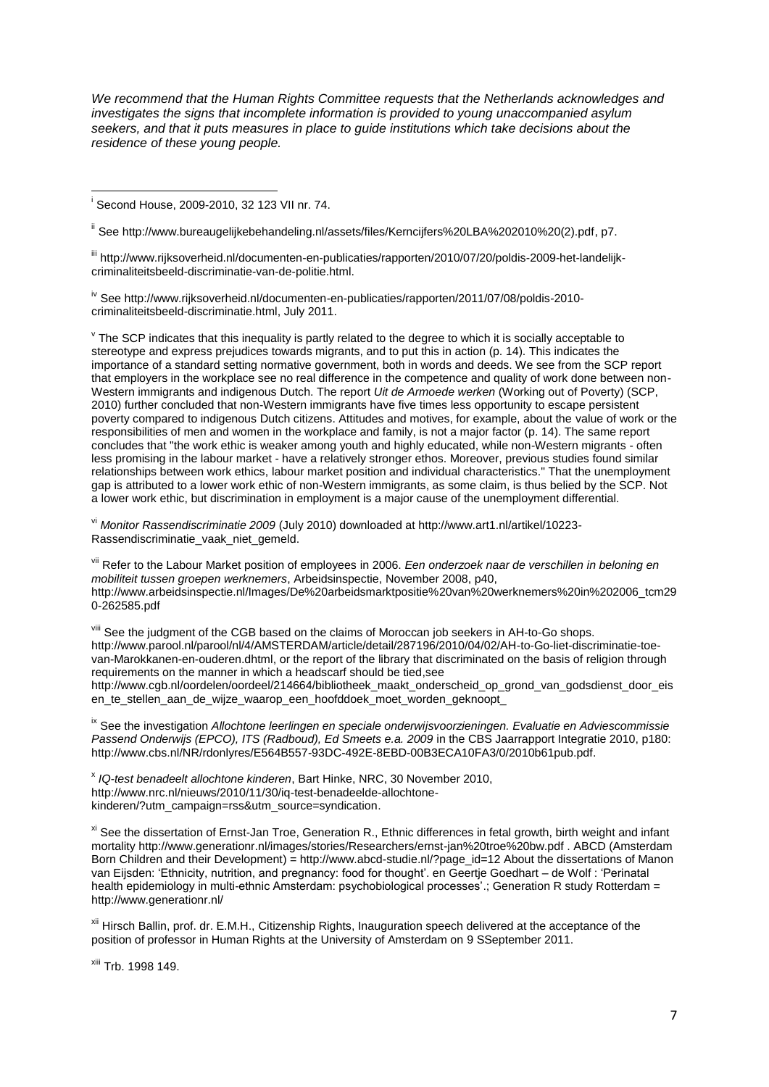*We recommend that the Human Rights Committee requests that the Netherlands acknowledges and investigates the signs that incomplete information is provided to young unaccompanied asylum seekers, and that it puts measures in place to guide institutions which take decisions about the residence of these young people.*

ii Se[e http://www.bureaugelijkebehandeling.nl/assets/files/Kerncijfers%20LBA%202010%20\(2\).pdf,](http://www.bureaugelijkebehandeling.nl/assets/files/Kerncijfers%20LBA%202010%20(2).pdf) p7.

iii [http://www.rijksoverheid.nl/documenten-en-publicaties/rapporten/2010/07/20/poldis-2009-het-landelijk](http://www.rijksoverheid.nl/documenten-en-publicaties/rapporten/2010/07/20/poldis-2009-het-landelijk-criminaliteitsbeeld-discriminatie-van-de-politie.html)[criminaliteitsbeeld-discriminatie-van-de-politie.html.](http://www.rijksoverheid.nl/documenten-en-publicaties/rapporten/2010/07/20/poldis-2009-het-landelijk-criminaliteitsbeeld-discriminatie-van-de-politie.html)

iv See [http://www.rijksoverheid.nl/documenten-en-publicaties/rapporten/2011/07/08/poldis-2010](http://www.rijksoverheid.nl/documenten-en-publicaties/rapporten/2011/07/08/poldis-2010-criminaliteitsbeeld-discriminatie.html) [criminaliteitsbeeld-discriminatie.html,](http://www.rijksoverheid.nl/documenten-en-publicaties/rapporten/2011/07/08/poldis-2010-criminaliteitsbeeld-discriminatie.html) July 2011.

 $\mathrm{v}$  The SCP indicates that this inequality is partly related to the degree to which it is socially acceptable to stereotype and express prejudices towards migrants, and to put this in action (p. 14). This indicates the importance of a standard setting normative government, both in words and deeds. We see from the SCP report that employers in the workplace see no real difference in the competence and quality of work done between non-Western immigrants and indigenous Dutch. The report *Uit de Armoede werken* (Working out of Poverty) (SCP, 2010) further concluded that non-Western immigrants have five times less opportunity to escape persistent poverty compared to indigenous Dutch citizens. Attitudes and motives, for example, about the value of work or the responsibilities of men and women in the workplace and family, is not a major factor (p. 14). The same report concludes that "the work ethic is weaker among youth and highly educated, while non-Western migrants - often less promising in the labour market - have a relatively stronger ethos. Moreover, previous studies found similar relationships between work ethics, labour market position and individual characteristics." That the unemployment gap is attributed to a lower work ethic of non-Western immigrants, as some claim, is thus belied by the SCP. Not a lower work ethic, but discrimination in employment is a major cause of the unemployment differential.

vi *Monitor Rassendiscriminatie 2009* (July 2010) downloaded at [http://www.art1.nl/artikel/10223-](http://www.art1.nl/artikel/10223-Rassendiscriminatie_vaak_niet_gemeld) [Rassendiscriminatie\\_vaak\\_niet\\_gemeld.](http://www.art1.nl/artikel/10223-Rassendiscriminatie_vaak_niet_gemeld)

vii Refer to the Labour Market position of employees in 2006. *Een onderzoek naar de verschillen in beloning en mobiliteit tussen groepen werknemers*, Arbeidsinspectie, November 2008, p40, [http://www.arbeidsinspectie.nl/Images/De%20arbeidsmarktpositie%20van%20werknemers%20in%202006\\_tcm29](http://www.arbeidsinspectie.nl/Images/De%20arbeidsmarktpositie%20van%20werknemers%20in%202006_tcm290-262585.pdf) [0-262585.pdf](http://www.arbeidsinspectie.nl/Images/De%20arbeidsmarktpositie%20van%20werknemers%20in%202006_tcm290-262585.pdf) 

viii See the judgment of the CGB based on the claims of Moroccan job seekers in AH-to-Go shops. [http://www.parool.nl/parool/nl/4/AMSTERDAM/article/detail/287196/2010/04/02/AH-to-Go-liet-discriminatie-toe](http://www.parool.nl/parool/nl/4/AMSTERDAM/article/detail/287196/2010/04/02/AH-to-Go-liet-discriminatie-toe-van-Marokkanen-en-ouderen.dhtml)[van-Marokkanen-en-ouderen.dhtml,](http://www.parool.nl/parool/nl/4/AMSTERDAM/article/detail/287196/2010/04/02/AH-to-Go-liet-discriminatie-toe-van-Marokkanen-en-ouderen.dhtml) or the report of the library that discriminated on the basis of religion through requirements on the manner in which a headscarf should be tied,see [http://www.cgb.nl/oordelen/oordeel/214664/bibliotheek\\_maakt\\_onderscheid\\_op\\_grond\\_van\\_godsdienst\\_door\\_eis](http://www.cgb.nl/oordelen/oordeel/214664/bibliotheek_maakt_onderscheid_op_grond_van_godsdienst_door_eisen_te_stellen_aan_de_wijze_waarop_een_hoofddoek_moet_worden_geknoopt_) en\_te\_stellen\_aan\_de\_wijze\_waarop\_een\_hoofddoek\_moet\_worden\_geknoopt\_

ix See the investigation *Allochtone leerlingen en speciale onderwijsvoorzieningen. Evaluatie en Adviescommissie*  Passend Onderwijs (EPCO), ITS (Radboud), Ed Smeets e.a. 2009 in the CBS Jaarrapport Integratie 2010, p180: [http://www.cbs.nl/NR/rdonlyres/E564B557-93DC-492E-8EBD-00B3ECA10FA3/0/2010b61pub.pdf.](http://www.cbs.nl/NR/rdonlyres/E564B557-93DC-492E-8EBD-00B3ECA10FA3/0/2010b61pub.pdf)

x *IQ-test benadeelt allochtone kinderen*, Bart Hinke, NRC, 30 November 2010, [http://www.nrc.nl/nieuws/2010/11/30/iq-test-benadeelde-allochtone](http://www.nrc.nl/nieuws/2010/11/30/iq-test-benadeelde-allochtone-kinderen/?utm_campaign=rss&utm_source=syndication.)[kinderen/?utm\\_campaign=rss&utm\\_source=syndication.](http://www.nrc.nl/nieuws/2010/11/30/iq-test-benadeelde-allochtone-kinderen/?utm_campaign=rss&utm_source=syndication.)

<sup>xi</sup> See the dissertation of Ernst-Jan Troe, Generation R., Ethnic differences in fetal growth, birth weight and infant mortality<http://www.generationr.nl/images/stories/Researchers/ernst-jan%20troe%20bw.pdf> . ABCD (Amsterdam Born Children and their Development) = [http://www.abcd-studie.nl/?page\\_id=12](http://www.abcd-studie.nl/?page_id=12) About the dissertations of Manon van Eijsden: ["Ethnicity, nutrition, and pregnancy: food](http://dare.uva.nl/record/271357) for thought". en Geertje Goedhart – de Wolf : ["Perinatal](http://dare.uva.nl/cgi/b/bib/bib-idx?type=simple;lang=nl;c=uvadare;sid=223963cb67c1610330f5393c310f6219;rgn1=entire%20record;q1=perinatal%20health%20epidemiology;sort=publicationyear;cc=uvadare;view=reslist;fmt=long;page=reslist;start=1;size=1)  health epidemiology in multi-ethnic Amsterdam: psychobiological processes'.; Generation R study Rotterdam = <http://www.generationr.nl/>

xii Hirsch Ballin, prof. dr. E.M.H., Citizenship Rights, Inauguration speech delivered at the acceptance of the position of professor in Human Rights at the University of Amsterdam on 9 SSeptember 2011.

xiii Trb. 1998 149.

 $\overline{1}$ i Second House, 2009-2010, 32 123 VII nr. 74.